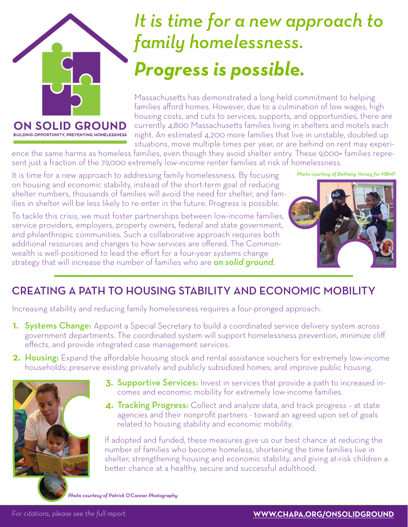

# *It is time for a new approach to family homelessness. Progress is possible.*

Massachusetts has demonstrated a long-held commitment to helping families afford homes. However, due to a culmination of low wages, high housing costs, and cuts to services, supports, and opportunities, there are currently 4,800 Massachusetts families living in shelters and motels each night. An estimated 4,200 more families that live in unstable, doubled up situations, move multiple times per year, or are behind on rent may experi-

ence the same harms as homeless families, even though they avoid shelter entry. These 9,000+ families represent just a fraction of the 79,000 extremely low-income renter families at risk of homelessness.

It is time for a new approach to addressing family homelessness. By focusing on housing and economic stability, instead of the short-term goal of reducing shelter numbers, thousands of families will avoid the need for shelter, and families in shelter will be less likely to re-enter in the future. Progress is possible.

To tackle this crisis, we must foster partnerships between low-income families, service providers, employers, property owners, federal and state government, and philanthropic communities. Such a collaborative approach requires both additional resources and changes to how services are offered. The Commonwealth is well-positioned to lead the effort for a four-year systems change strategy that will increase the number of families who are *on solid ground*.

*Photo courtesy of Bethany Versoy for MBHP*



### CREATING A PATH TO HOUSING STABILITY AND ECONOMIC MOBILITY

Increasing stability and reducing family homelessness requires a four-pronged approach:

- **1.** Systems Change: Appoint a Special Secretary to build a coordinated service delivery system across government departments. The coordinated system will support homelessness prevention, minimize cliff effects, and provide integrated case management services.
- 2. Housing: Expand the affordable housing stock and rental assistance vouchers for extremely low-income households; preserve existing privately and publicly subsidized homes; and improve public housing.



- 3. Supportive Services: Invest in services that provide a path to increased incomes and economic mobility for extremely low-income families.
- 4. Tracking Progress: Collect and analyze data, and track progress at state agencies and their nonprofit partners - toward an agreed upon set of goals related to housing stability and economic mobility.

If adopted and funded, these measures give us our best chance at reducing the number of families who become homeless, shortening the time families live in shelter, strengthening housing and economic stability, and giving at-risk children a better chance at a healthy, secure and successful adulthood.

*Photo courtesy of Patrick O'Connor Photography*